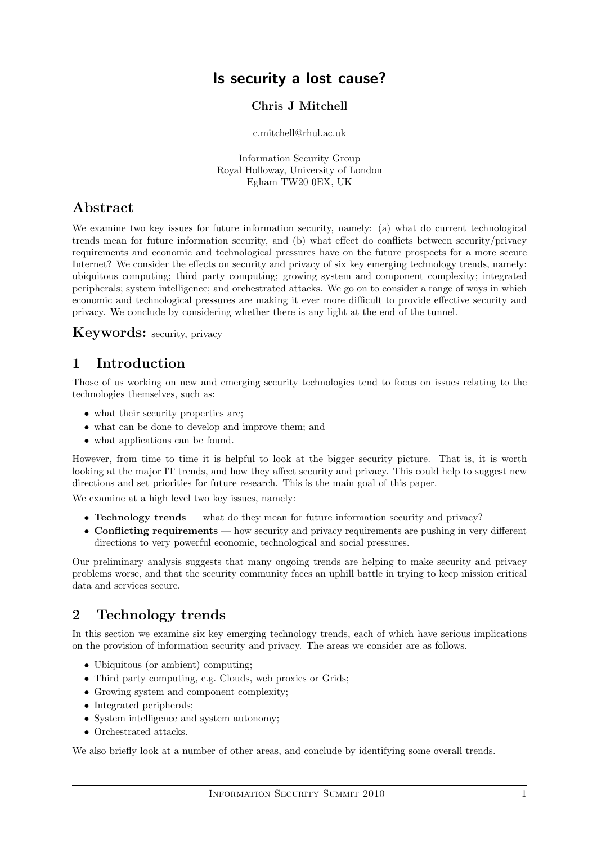# Is security a lost cause?

#### Chris J Mitchell

#### c.mitchell@rhul.ac.uk

Information Security Group Royal Holloway, University of London Egham TW20 0EX, UK

## Abstract

We examine two key issues for future information security, namely: (a) what do current technological trends mean for future information security, and (b) what effect do conflicts between security/privacy requirements and economic and technological pressures have on the future prospects for a more secure Internet? We consider the effects on security and privacy of six key emerging technology trends, namely: ubiquitous computing; third party computing; growing system and component complexity; integrated peripherals; system intelligence; and orchestrated attacks. We go on to consider a range of ways in which economic and technological pressures are making it ever more difficult to provide effective security and privacy. We conclude by considering whether there is any light at the end of the tunnel.

## Keywords: security, privacy

# 1 Introduction

Those of us working on new and emerging security technologies tend to focus on issues relating to the technologies themselves, such as:

- what their security properties are;
- what can be done to develop and improve them; and
- what applications can be found.

However, from time to time it is helpful to look at the bigger security picture. That is, it is worth looking at the major IT trends, and how they affect security and privacy. This could help to suggest new directions and set priorities for future research. This is the main goal of this paper.

We examine at a high level two key issues, namely:

- Technology trends what do they mean for future information security and privacy?
- Conflicting requirements how security and privacy requirements are pushing in very different directions to very powerful economic, technological and social pressures.

Our preliminary analysis suggests that many ongoing trends are helping to make security and privacy problems worse, and that the security community faces an uphill battle in trying to keep mission critical data and services secure.

# 2 Technology trends

In this section we examine six key emerging technology trends, each of which have serious implications on the provision of information security and privacy. The areas we consider are as follows.

- Ubiquitous (or ambient) computing;
- Third party computing, e.g. Clouds, web proxies or Grids;
- Growing system and component complexity;
- Integrated peripherals;
- System intelligence and system autonomy;
- Orchestrated attacks.

We also briefly look at a number of other areas, and conclude by identifying some overall trends.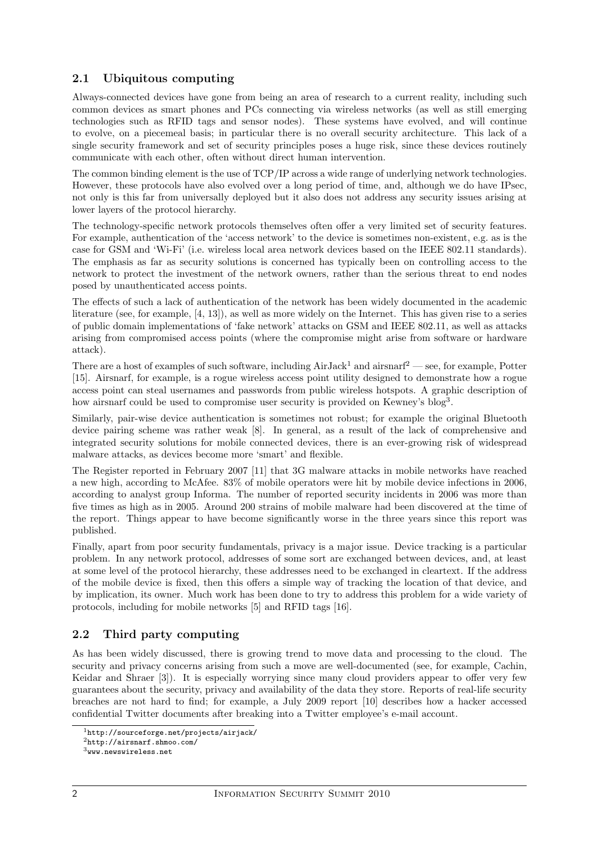### 2.1 Ubiquitous computing

Always-connected devices have gone from being an area of research to a current reality, including such common devices as smart phones and PCs connecting via wireless networks (as well as still emerging technologies such as RFID tags and sensor nodes). These systems have evolved, and will continue to evolve, on a piecemeal basis; in particular there is no overall security architecture. This lack of a single security framework and set of security principles poses a huge risk, since these devices routinely communicate with each other, often without direct human intervention.

The common binding element is the use of TCP/IP across a wide range of underlying network technologies. However, these protocols have also evolved over a long period of time, and, although we do have IPsec, not only is this far from universally deployed but it also does not address any security issues arising at lower layers of the protocol hierarchy.

The technology-specific network protocols themselves often offer a very limited set of security features. For example, authentication of the 'access network' to the device is sometimes non-existent, e.g. as is the case for GSM and 'Wi-Fi' (i.e. wireless local area network devices based on the IEEE 802.11 standards). The emphasis as far as security solutions is concerned has typically been on controlling access to the network to protect the investment of the network owners, rather than the serious threat to end nodes posed by unauthenticated access points.

The effects of such a lack of authentication of the network has been widely documented in the academic literature (see, for example, [4, 13]), as well as more widely on the Internet. This has given rise to a series of public domain implementations of 'fake network' attacks on GSM and IEEE 802.11, as well as attacks arising from compromised access points (where the compromise might arise from software or hardware attack).

There are a host of examples of such software, including  $AirJack<sup>1</sup>$  and airsnarf<sup>2</sup> — see, for example, Potter [15]. Airsnarf, for example, is a rogue wireless access point utility designed to demonstrate how a rogue access point can steal usernames and passwords from public wireless hotspots. A graphic description of how airsnarf could be used to compromise user security is provided on Kewney's blog<sup>3</sup>.

Similarly, pair-wise device authentication is sometimes not robust; for example the original Bluetooth device pairing scheme was rather weak [8]. In general, as a result of the lack of comprehensive and integrated security solutions for mobile connected devices, there is an ever-growing risk of widespread malware attacks, as devices become more 'smart' and flexible.

The Register reported in February 2007 [11] that 3G malware attacks in mobile networks have reached a new high, according to McAfee. 83% of mobile operators were hit by mobile device infections in 2006, according to analyst group Informa. The number of reported security incidents in 2006 was more than five times as high as in 2005. Around 200 strains of mobile malware had been discovered at the time of the report. Things appear to have become significantly worse in the three years since this report was published.

Finally, apart from poor security fundamentals, privacy is a major issue. Device tracking is a particular problem. In any network protocol, addresses of some sort are exchanged between devices, and, at least at some level of the protocol hierarchy, these addresses need to be exchanged in cleartext. If the address of the mobile device is fixed, then this offers a simple way of tracking the location of that device, and by implication, its owner. Much work has been done to try to address this problem for a wide variety of protocols, including for mobile networks [5] and RFID tags [16].

#### 2.2 Third party computing

As has been widely discussed, there is growing trend to move data and processing to the cloud. The security and privacy concerns arising from such a move are well-documented (see, for example, Cachin, Keidar and Shraer [3]). It is especially worrying since many cloud providers appear to offer very few guarantees about the security, privacy and availability of the data they store. Reports of real-life security breaches are not hard to find; for example, a July 2009 report [10] describes how a hacker accessed confidential Twitter documents after breaking into a Twitter employee's e-mail account.

<sup>1</sup>http://sourceforge.net/projects/airjack/

<sup>2</sup>http://airsnarf.shmoo.com/

<sup>3</sup>www.newswireless.net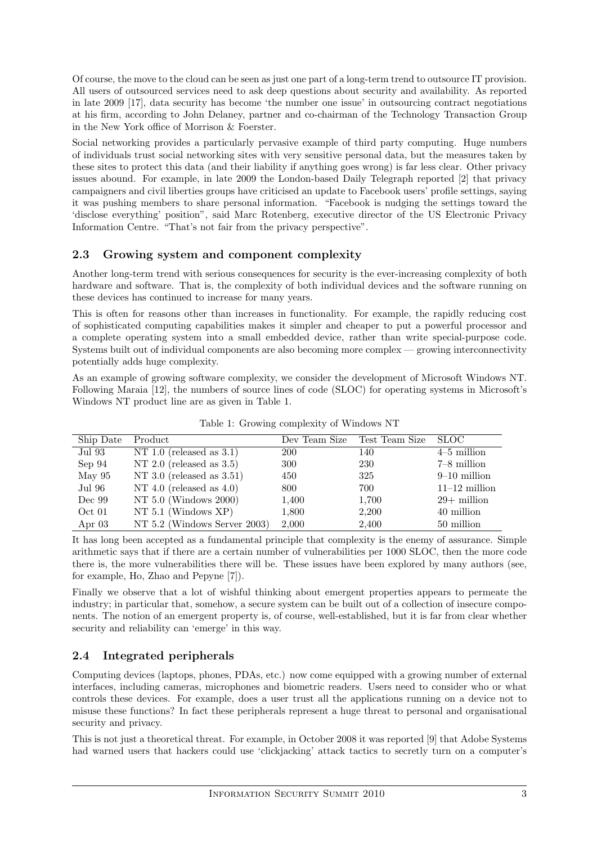Of course, the move to the cloud can be seen as just one part of a long-term trend to outsource IT provision. All users of outsourced services need to ask deep questions about security and availability. As reported in late 2009 [17], data security has become 'the number one issue' in outsourcing contract negotiations at his firm, according to John Delaney, partner and co-chairman of the Technology Transaction Group in the New York office of Morrison & Foerster.

Social networking provides a particularly pervasive example of third party computing. Huge numbers of individuals trust social networking sites with very sensitive personal data, but the measures taken by these sites to protect this data (and their liability if anything goes wrong) is far less clear. Other privacy issues abound. For example, in late 2009 the London-based Daily Telegraph reported [2] that privacy campaigners and civil liberties groups have criticised an update to Facebook users' profile settings, saying it was pushing members to share personal information. "Facebook is nudging the settings toward the 'disclose everything' position", said Marc Rotenberg, executive director of the US Electronic Privacy Information Centre. "That's not fair from the privacy perspective".

#### 2.3 Growing system and component complexity

Another long-term trend with serious consequences for security is the ever-increasing complexity of both hardware and software. That is, the complexity of both individual devices and the software running on these devices has continued to increase for many years.

This is often for reasons other than increases in functionality. For example, the rapidly reducing cost of sophisticated computing capabilities makes it simpler and cheaper to put a powerful processor and a complete operating system into a small embedded device, rather than write special-purpose code. Systems built out of individual components are also becoming more complex — growing interconnectivity potentially adds huge complexity.

As an example of growing software complexity, we consider the development of Microsoft Windows NT. Following Maraia [12], the numbers of source lines of code (SLOC) for operating systems in Microsoft's Windows NT product line are as given in Table 1.

| Ship Date | Product                      | Dev Team Size | Test Team Size | <b>SLOC</b>     |
|-----------|------------------------------|---------------|----------------|-----------------|
| Jul 93    | NT 1.0 (released as $3.1$ )  | <b>200</b>    | 140            | $4-5$ million   |
| Sep 94    | NT 2.0 (released as $3.5$ )  | 300           | 230            | $7-8$ million   |
| May $95$  | NT 3.0 (released as $3.51$ ) | 450           | 325            | $9-10$ million  |
| Jul 96    | NT 4.0 (released as $4.0$ )  | 800           | 700            | $11-12$ million |
| Dec 99    | NT $5.0$ (Windows $2000$ )   | 1,400         | 1,700          | $29+$ million   |
| Oct 01    | NT $5.1$ (Windows XP)        | 1,800         | 2,200          | 40 million      |
| Apr $03$  | NT 5.2 (Windows Server 2003) | 2,000         | 2,400          | 50 million      |

Table 1: Growing complexity of Windows NT

It has long been accepted as a fundamental principle that complexity is the enemy of assurance. Simple arithmetic says that if there are a certain number of vulnerabilities per 1000 SLOC, then the more code there is, the more vulnerabilities there will be. These issues have been explored by many authors (see, for example, Ho, Zhao and Pepyne [7]).

Finally we observe that a lot of wishful thinking about emergent properties appears to permeate the industry; in particular that, somehow, a secure system can be built out of a collection of insecure components. The notion of an emergent property is, of course, well-established, but it is far from clear whether security and reliability can 'emerge' in this way.

## 2.4 Integrated peripherals

Computing devices (laptops, phones, PDAs, etc.) now come equipped with a growing number of external interfaces, including cameras, microphones and biometric readers. Users need to consider who or what controls these devices. For example, does a user trust all the applications running on a device not to misuse these functions? In fact these peripherals represent a huge threat to personal and organisational security and privacy.

This is not just a theoretical threat. For example, in October 2008 it was reported [9] that Adobe Systems had warned users that hackers could use 'clickjacking' attack tactics to secretly turn on a computer's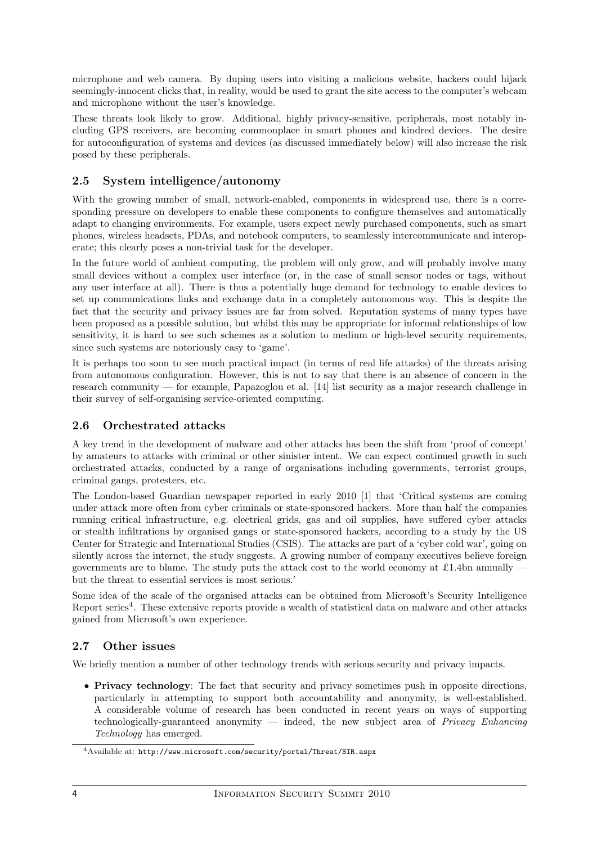microphone and web camera. By duping users into visiting a malicious website, hackers could hijack seemingly-innocent clicks that, in reality, would be used to grant the site access to the computer's webcam and microphone without the user's knowledge.

These threats look likely to grow. Additional, highly privacy-sensitive, peripherals, most notably including GPS receivers, are becoming commonplace in smart phones and kindred devices. The desire for autoconfiguration of systems and devices (as discussed immediately below) will also increase the risk posed by these peripherals.

#### 2.5 System intelligence/autonomy

With the growing number of small, network-enabled, components in widespread use, there is a corresponding pressure on developers to enable these components to configure themselves and automatically adapt to changing environments. For example, users expect newly purchased components, such as smart phones, wireless headsets, PDAs, and notebook computers, to seamlessly intercommunicate and interoperate; this clearly poses a non-trivial task for the developer.

In the future world of ambient computing, the problem will only grow, and will probably involve many small devices without a complex user interface (or, in the case of small sensor nodes or tags, without any user interface at all). There is thus a potentially huge demand for technology to enable devices to set up communications links and exchange data in a completely autonomous way. This is despite the fact that the security and privacy issues are far from solved. Reputation systems of many types have been proposed as a possible solution, but whilst this may be appropriate for informal relationships of low sensitivity, it is hard to see such schemes as a solution to medium or high-level security requirements, since such systems are notoriously easy to 'game'.

It is perhaps too soon to see much practical impact (in terms of real life attacks) of the threats arising from autonomous configuration. However, this is not to say that there is an absence of concern in the research community — for example, Papazoglou et al. [14] list security as a major research challenge in their survey of self-organising service-oriented computing.

### 2.6 Orchestrated attacks

A key trend in the development of malware and other attacks has been the shift from 'proof of concept' by amateurs to attacks with criminal or other sinister intent. We can expect continued growth in such orchestrated attacks, conducted by a range of organisations including governments, terrorist groups, criminal gangs, protesters, etc.

The London-based Guardian newspaper reported in early 2010 [1] that 'Critical systems are coming under attack more often from cyber criminals or state-sponsored hackers. More than half the companies running critical infrastructure, e.g. electrical grids, gas and oil supplies, have suffered cyber attacks or stealth infiltrations by organised gangs or state-sponsored hackers, according to a study by the US Center for Strategic and International Studies (CSIS). The attacks are part of a 'cyber cold war', going on silently across the internet, the study suggests. A growing number of company executives believe foreign governments are to blame. The study puts the attack cost to the world economy at £1.4bn annually  $\overline{\phantom{a}}$ but the threat to essential services is most serious.'

Some idea of the scale of the organised attacks can be obtained from Microsoft's Security Intelligence Report series<sup>4</sup>. These extensive reports provide a wealth of statistical data on malware and other attacks gained from Microsoft's own experience.

#### 2.7 Other issues

We briefly mention a number of other technology trends with serious security and privacy impacts.

• Privacy technology: The fact that security and privacy sometimes push in opposite directions, particularly in attempting to support both accountability and anonymity, is well-established. A considerable volume of research has been conducted in recent years on ways of supporting technologically-guaranteed anonymity — indeed, the new subject area of Privacy Enhancing Technology has emerged.

<sup>4</sup>Available at: http://www.microsoft.com/security/portal/Threat/SIR.aspx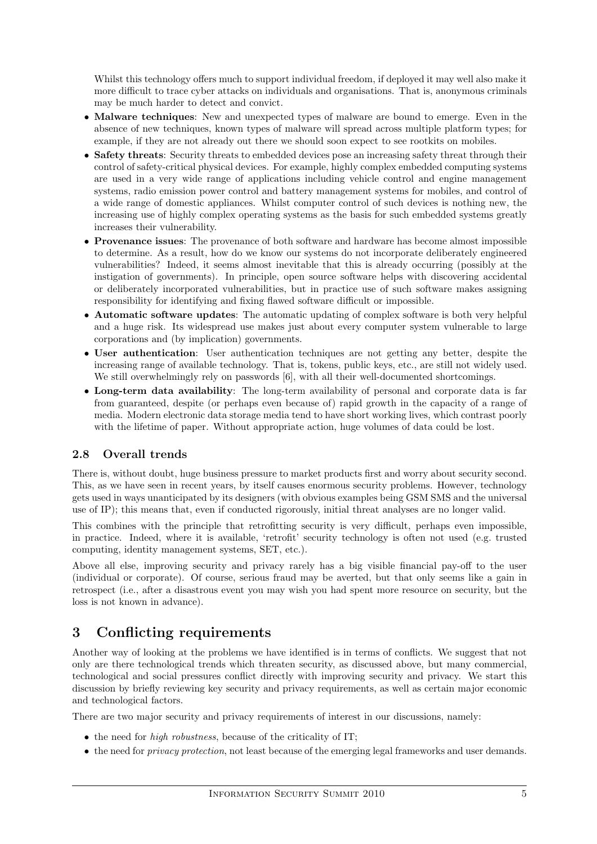Whilst this technology offers much to support individual freedom, if deployed it may well also make it more difficult to trace cyber attacks on individuals and organisations. That is, anonymous criminals may be much harder to detect and convict.

- Malware techniques: New and unexpected types of malware are bound to emerge. Even in the absence of new techniques, known types of malware will spread across multiple platform types; for example, if they are not already out there we should soon expect to see rootkits on mobiles.
- Safety threats: Security threats to embedded devices pose an increasing safety threat through their control of safety-critical physical devices. For example, highly complex embedded computing systems are used in a very wide range of applications including vehicle control and engine management systems, radio emission power control and battery management systems for mobiles, and control of a wide range of domestic appliances. Whilst computer control of such devices is nothing new, the increasing use of highly complex operating systems as the basis for such embedded systems greatly increases their vulnerability.
- Provenance issues: The provenance of both software and hardware has become almost impossible to determine. As a result, how do we know our systems do not incorporate deliberately engineered vulnerabilities? Indeed, it seems almost inevitable that this is already occurring (possibly at the instigation of governments). In principle, open source software helps with discovering accidental or deliberately incorporated vulnerabilities, but in practice use of such software makes assigning responsibility for identifying and fixing flawed software difficult or impossible.
- Automatic software updates: The automatic updating of complex software is both very helpful and a huge risk. Its widespread use makes just about every computer system vulnerable to large corporations and (by implication) governments.
- User authentication: User authentication techniques are not getting any better, despite the increasing range of available technology. That is, tokens, public keys, etc., are still not widely used. We still overwhelmingly rely on passwords [6], with all their well-documented shortcomings.
- Long-term data availability: The long-term availability of personal and corporate data is far from guaranteed, despite (or perhaps even because of) rapid growth in the capacity of a range of media. Modern electronic data storage media tend to have short working lives, which contrast poorly with the lifetime of paper. Without appropriate action, huge volumes of data could be lost.

#### 2.8 Overall trends

There is, without doubt, huge business pressure to market products first and worry about security second. This, as we have seen in recent years, by itself causes enormous security problems. However, technology gets used in ways unanticipated by its designers (with obvious examples being GSM SMS and the universal use of IP); this means that, even if conducted rigorously, initial threat analyses are no longer valid.

This combines with the principle that retrofitting security is very difficult, perhaps even impossible, in practice. Indeed, where it is available, 'retrofit' security technology is often not used (e.g. trusted computing, identity management systems, SET, etc.).

Above all else, improving security and privacy rarely has a big visible financial pay-off to the user (individual or corporate). Of course, serious fraud may be averted, but that only seems like a gain in retrospect (i.e., after a disastrous event you may wish you had spent more resource on security, but the loss is not known in advance).

# 3 Conflicting requirements

Another way of looking at the problems we have identified is in terms of conflicts. We suggest that not only are there technological trends which threaten security, as discussed above, but many commercial, technological and social pressures conflict directly with improving security and privacy. We start this discussion by briefly reviewing key security and privacy requirements, as well as certain major economic and technological factors.

There are two major security and privacy requirements of interest in our discussions, namely:

- the need for *high robustness*, because of the criticality of IT;
- the need for privacy protection, not least because of the emerging legal frameworks and user demands.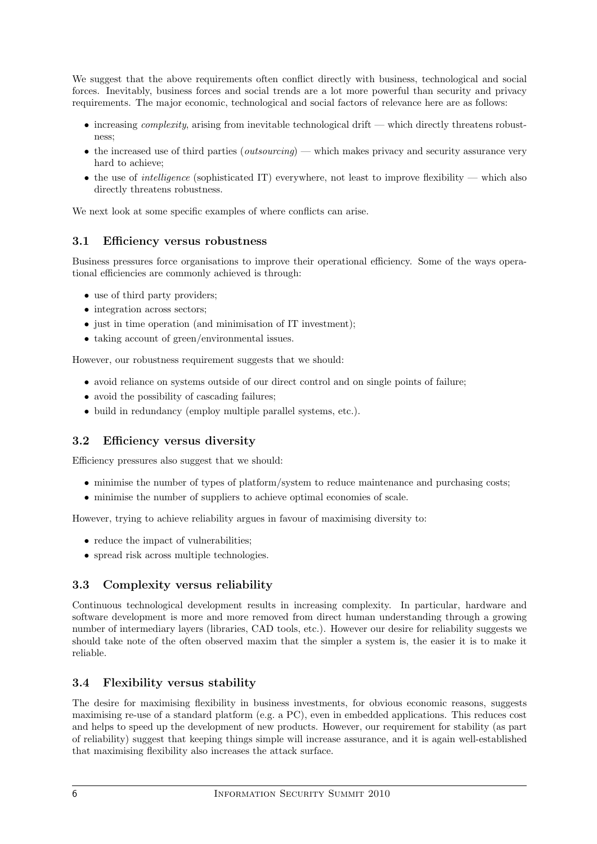We suggest that the above requirements often conflict directly with business, technological and social forces. Inevitably, business forces and social trends are a lot more powerful than security and privacy requirements. The major economic, technological and social factors of relevance here are as follows:

- $\bullet$  increasing *complexity*, arising from inevitable technological drift which directly threatens robustness;
- the increased use of third parties (*outsourcing*) which makes privacy and security assurance very hard to achieve;
- the use of *intelligence* (sophisticated IT) everywhere, not least to improve flexibility which also directly threatens robustness.

We next look at some specific examples of where conflicts can arise.

#### 3.1 Efficiency versus robustness

Business pressures force organisations to improve their operational efficiency. Some of the ways operational efficiencies are commonly achieved is through:

- use of third party providers;
- integration across sectors;
- just in time operation (and minimisation of IT investment);
- taking account of green/environmental issues.

However, our robustness requirement suggests that we should:

- avoid reliance on systems outside of our direct control and on single points of failure;
- avoid the possibility of cascading failures;
- build in redundancy (employ multiple parallel systems, etc.).

#### 3.2 Efficiency versus diversity

Efficiency pressures also suggest that we should:

- minimise the number of types of platform/system to reduce maintenance and purchasing costs;
- minimise the number of suppliers to achieve optimal economies of scale.

However, trying to achieve reliability argues in favour of maximising diversity to:

- reduce the impact of vulnerabilities;
- spread risk across multiple technologies.

#### 3.3 Complexity versus reliability

Continuous technological development results in increasing complexity. In particular, hardware and software development is more and more removed from direct human understanding through a growing number of intermediary layers (libraries, CAD tools, etc.). However our desire for reliability suggests we should take note of the often observed maxim that the simpler a system is, the easier it is to make it reliable.

#### 3.4 Flexibility versus stability

The desire for maximising flexibility in business investments, for obvious economic reasons, suggests maximising re-use of a standard platform (e.g. a PC), even in embedded applications. This reduces cost and helps to speed up the development of new products. However, our requirement for stability (as part of reliability) suggest that keeping things simple will increase assurance, and it is again well-established that maximising flexibility also increases the attack surface.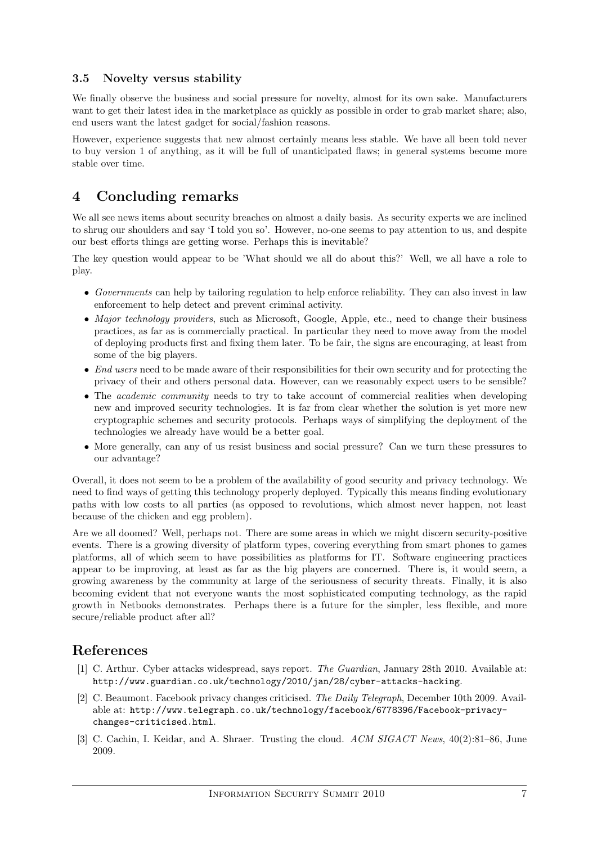#### 3.5 Novelty versus stability

We finally observe the business and social pressure for novelty, almost for its own sake. Manufacturers want to get their latest idea in the marketplace as quickly as possible in order to grab market share; also, end users want the latest gadget for social/fashion reasons.

However, experience suggests that new almost certainly means less stable. We have all been told never to buy version 1 of anything, as it will be full of unanticipated flaws; in general systems become more stable over time.

# 4 Concluding remarks

We all see news items about security breaches on almost a daily basis. As security experts we are inclined to shrug our shoulders and say 'I told you so'. However, no-one seems to pay attention to us, and despite our best efforts things are getting worse. Perhaps this is inevitable?

The key question would appear to be 'What should we all do about this?' Well, we all have a role to play.

- Governments can help by tailoring regulation to help enforce reliability. They can also invest in law enforcement to help detect and prevent criminal activity.
- Major technology providers, such as Microsoft, Google, Apple, etc., need to change their business practices, as far as is commercially practical. In particular they need to move away from the model of deploying products first and fixing them later. To be fair, the signs are encouraging, at least from some of the big players.
- End users need to be made aware of their responsibilities for their own security and for protecting the privacy of their and others personal data. However, can we reasonably expect users to be sensible?
- The *academic community* needs to try to take account of commercial realities when developing new and improved security technologies. It is far from clear whether the solution is yet more new cryptographic schemes and security protocols. Perhaps ways of simplifying the deployment of the technologies we already have would be a better goal.
- More generally, can any of us resist business and social pressure? Can we turn these pressures to our advantage?

Overall, it does not seem to be a problem of the availability of good security and privacy technology. We need to find ways of getting this technology properly deployed. Typically this means finding evolutionary paths with low costs to all parties (as opposed to revolutions, which almost never happen, not least because of the chicken and egg problem).

Are we all doomed? Well, perhaps not. There are some areas in which we might discern security-positive events. There is a growing diversity of platform types, covering everything from smart phones to games platforms, all of which seem to have possibilities as platforms for IT. Software engineering practices appear to be improving, at least as far as the big players are concerned. There is, it would seem, a growing awareness by the community at large of the seriousness of security threats. Finally, it is also becoming evident that not everyone wants the most sophisticated computing technology, as the rapid growth in Netbooks demonstrates. Perhaps there is a future for the simpler, less flexible, and more secure/reliable product after all?

# References

- [1] C. Arthur. Cyber attacks widespread, says report. The Guardian, January 28th 2010. Available at: http://www.guardian.co.uk/technology/2010/jan/28/cyber-attacks-hacking.
- [2] C. Beaumont. Facebook privacy changes criticised. The Daily Telegraph, December 10th 2009. Available at: http://www.telegraph.co.uk/technology/facebook/6778396/Facebook-privacychanges-criticised.html.
- [3] C. Cachin, I. Keidar, and A. Shraer. Trusting the cloud. ACM SIGACT News,  $40(2):81-86$ , June 2009.